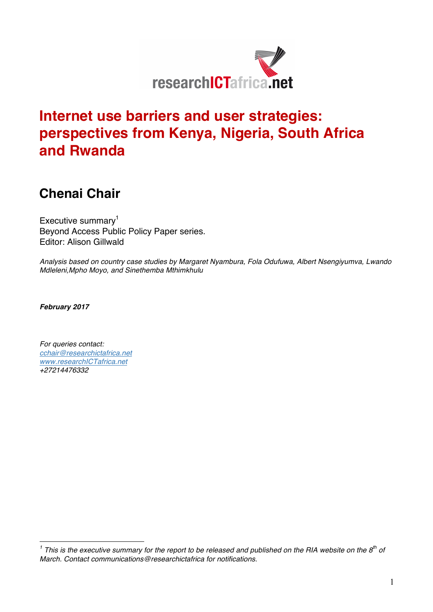

# **Internet use barriers and user strategies: perspectives from Kenya, Nigeria, South Africa and Rwanda**

## **Chenai Chair**

Executive summary $<sup>1</sup>$ </sup> Beyond Access Public Policy Paper series. Editor: Alison Gillwald

*Analysis based on country case studies by Margaret Nyambura, Fola Odufuwa, Albert Nsengiyumva, Lwando Mdleleni,Mpho Moyo, and Sinethemba Mthimkhulu*

*February 2017*

*For queries contact: cchair@researchictafrica.net www.researchICTafrica.net +27214476332*

*<sup>1</sup> This is the executive summary for the report to be released and published on the RIA website on the 8th of March. Contact communications@researchictafrica for notifications.*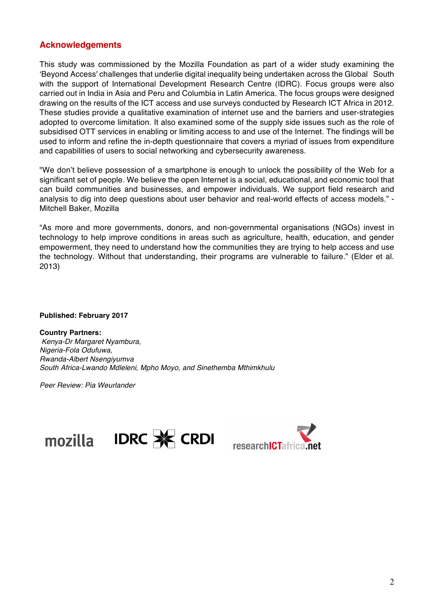### **Acknowledgements**

This study was commissioned by the Mozilla Foundation as part of a wider study examining the 'Beyond Access' challenges that underlie digital inequality being undertaken across the Global South with the support of International Development Research Centre (IDRC). Focus groups were also carried out in India in Asia and Peru and Columbia in Latin America. The focus groups were designed drawing on the results of the ICT access and use surveys conducted by Research ICT Africa in 2012. These studies provide a qualitative examination of internet use and the barriers and user-strategies adopted to overcome limitation. It also examined some of the supply side issues such as the role of subsidised OTT services in enabling or limiting access to and use of the Internet. The findings will be used to inform and refine the in-depth questionnaire that covers a myriad of issues from expenditure and capabilities of users to social networking and cybersecurity awareness.

"We don't believe possession of a smartphone is enough to unlock the possibility of the Web for a significant set of people. We believe the open Internet is a social, educational, and economic tool that can build communities and businesses, and empower individuals. We support field research and analysis to dig into deep questions about user behavior and real-world effects of access models." - Mitchell Baker, Mozilla

"As more and more governments, donors, and non-governmental organisations (NGOs) invest in technology to help improve conditions in areas such as agriculture, health, education, and gender empowerment, they need to understand how the communities they are trying to help access and use the technology. Without that understanding, their programs are vulnerable to failure." (Elder et al. 2013)

**Published: February 2017**

**Country Partners:** *Kenya-Dr Margaret Nyambura, Nigeria-Fola Odufuwa, Rwanda-Albert Nsengiyumva South Africa-Lwando Mdleleni, Mpho Moyo, and Sinethemba Mthimkhulu*

*Peer Review: Pia Weurlander*



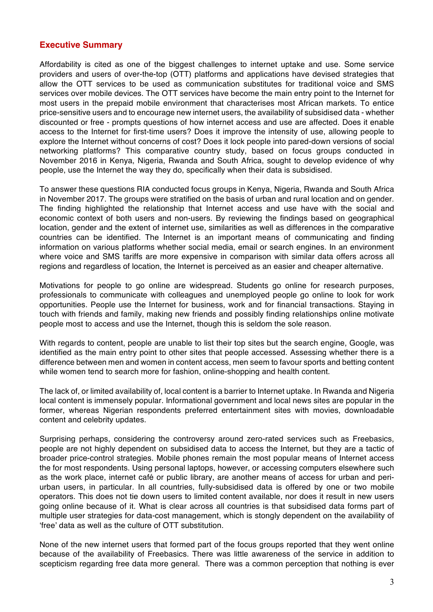### **Executive Summary**

Affordability is cited as one of the biggest challenges to internet uptake and use. Some service providers and users of over-the-top (OTT) platforms and applications have devised strategies that allow the OTT services to be used as communication substitutes for traditional voice and SMS services over mobile devices. The OTT services have become the main entry point to the Internet for most users in the prepaid mobile environment that characterises most African markets. To entice price-sensitive users and to encourage new internet users, the availability of subsidised data - whether discounted or free - prompts questions of how internet access and use are affected. Does it enable access to the Internet for first-time users? Does it improve the intensity of use, allowing people to explore the Internet without concerns of cost? Does it lock people into pared-down versions of social networking platforms? This comparative country study, based on focus groups conducted in November 2016 in Kenya, Nigeria, Rwanda and South Africa, sought to develop evidence of why people, use the Internet the way they do, specifically when their data is subsidised.

To answer these questions RIA conducted focus groups in Kenya, Nigeria, Rwanda and South Africa in November 2017. The groups were stratified on the basis of urban and rural location and on gender. The finding highlighted the relationship that Internet access and use have with the social and economic context of both users and non-users. By reviewing the findings based on geographical location, gender and the extent of internet use, similarities as well as differences in the comparative countries can be identified. The Internet is an important means of communicating and finding information on various platforms whether social media, email or search engines. In an environment where voice and SMS tariffs are more expensive in comparison with similar data offers across all regions and regardless of location, the Internet is perceived as an easier and cheaper alternative.

Motivations for people to go online are widespread. Students go online for research purposes, professionals to communicate with colleagues and unemployed people go online to look for work opportunities. People use the Internet for business, work and for financial transactions. Staying in touch with friends and family, making new friends and possibly finding relationships online motivate people most to access and use the Internet, though this is seldom the sole reason.

With regards to content, people are unable to list their top sites but the search engine, Google, was identified as the main entry point to other sites that people accessed. Assessing whether there is a difference between men and women in content access, men seem to favour sports and betting content while women tend to search more for fashion, online-shopping and health content.

The lack of, or limited availability of, local content is a barrier to Internet uptake. In Rwanda and Nigeria local content is immensely popular. Informational government and local news sites are popular in the former, whereas Nigerian respondents preferred entertainment sites with movies, downloadable content and celebrity updates.

Surprising perhaps, considering the controversy around zero-rated services such as Freebasics, people are not highly dependent on subsidised data to access the Internet, but they are a tactic of broader price-control strategies. Mobile phones remain the most popular means of Internet access the for most respondents. Using personal laptops, however, or accessing computers elsewhere such as the work place, internet café or public library, are another means of access for urban and periurban users, in particular. In all countries, fully-subsidised data is offered by one or two mobile operators. This does not tie down users to limited content available, nor does it result in new users going online because of it. What is clear across all countries is that subsidised data forms part of multiple user strategies for data-cost management, which is stongly dependent on the availability of 'free' data as well as the culture of OTT substitution.

None of the new internet users that formed part of the focus groups reported that they went online because of the availability of Freebasics. There was little awareness of the service in addition to scepticism regarding free data more general. There was a common perception that nothing is ever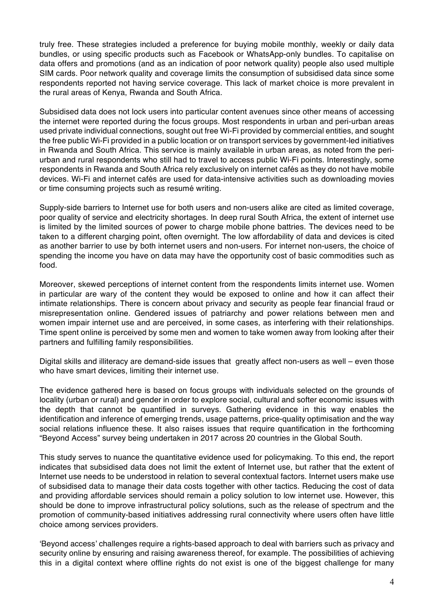truly free. These strategies included a preference for buying mobile monthly, weekly or daily data bundles, or using specific products such as Facebook or WhatsApp-only bundles. To capitalise on data offers and promotions (and as an indication of poor network quality) people also used multiple SIM cards. Poor network quality and coverage limits the consumption of subsidised data since some respondents reported not having service coverage. This lack of market choice is more prevalent in the rural areas of Kenya, Rwanda and South Africa.

Subsidised data does not lock users into particular content avenues since other means of accessing the internet were reported during the focus groups. Most respondents in urban and peri-urban areas used private individual connections, sought out free Wi-Fi provided by commercial entities, and sought the free public Wi-Fi provided in a public location or on transport services by government-led initiatives in Rwanda and South Africa. This service is mainly available in urban areas, as noted from the periurban and rural respondents who still had to travel to access public Wi-Fi points. Interestingly, some respondents in Rwanda and South Africa rely exclusively on internet cafés as they do not have mobile devices. Wi-Fi and internet cafés are used for data-intensive activities such as downloading movies or time consuming projects such as resumé writing.

Supply-side barriers to Internet use for both users and non-users alike are cited as limited coverage, poor quality of service and electricity shortages. In deep rural South Africa, the extent of internet use is limited by the limited sources of power to charge mobile phone battries. The devices need to be taken to a different charging point, often overnight. The low affordability of data and devices is cited as another barrier to use by both internet users and non-users. For internet non-users, the choice of spending the income you have on data may have the opportunity cost of basic commodities such as food.

Moreover, skewed perceptions of internet content from the respondents limits internet use. Women in particular are wary of the content they would be exposed to online and how it can affect their intimate relationships. There is concern about privacy and security as people fear financial fraud or misrepresentation online. Gendered issues of patriarchy and power relations between men and women impair internet use and are perceived, in some cases, as interfering with their relationships. Time spent online is perceived by some men and women to take women away from looking after their partners and fulfilling family responsibilities.

Digital skills and illiteracy are demand-side issues that greatly affect non-users as well – even those who have smart devices, limiting their internet use.

The evidence gathered here is based on focus groups with individuals selected on the grounds of locality (urban or rural) and gender in order to explore social, cultural and softer economic issues with the depth that cannot be quantified in surveys. Gathering evidence in this way enables the identification and inference of emerging trends, usage patterns, price-quality optimisation and the way social relations influence these. It also raises issues that require quantification in the forthcoming "Beyond Access" survey being undertaken in 2017 across 20 countries in the Global South.

This study serves to nuance the quantitative evidence used for policymaking. To this end, the report indicates that subsidised data does not limit the extent of Internet use, but rather that the extent of Internet use needs to be understood in relation to several contextual factors. Internet users make use of subsidised data to manage their data costs together with other tactics. Reducing the cost of data and providing affordable services should remain a policy solution to low internet use. However, this should be done to improve infrastructural policy solutions, such as the release of spectrum and the promotion of community-based initiatives addressing rural connectivity where users often have little choice among services providers.

'Beyond access' challenges require a rights-based approach to deal with barriers such as privacy and security online by ensuring and raising awareness thereof, for example. The possibilities of achieving this in a digital context where offline rights do not exist is one of the biggest challenge for many